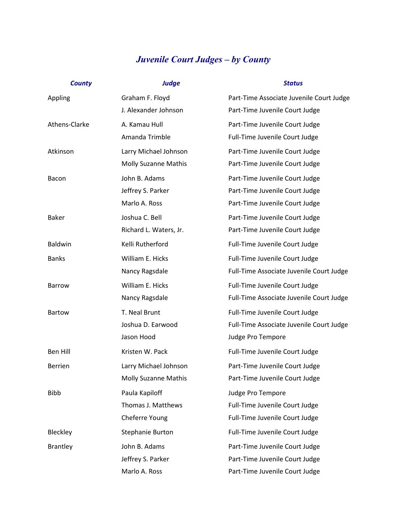## *Juvenile Court Judges – by County*

| <b>County</b>   | <b>Judge</b>                | <b>Status</b>                            |
|-----------------|-----------------------------|------------------------------------------|
| Appling         | Graham F. Floyd             | Part-Time Associate Juvenile Court Judge |
|                 | J. Alexander Johnson        | Part-Time Juvenile Court Judge           |
| Athens-Clarke   | A. Kamau Hull               | Part-Time Juvenile Court Judge           |
|                 | Amanda Trimble              | Full-Time Juvenile Court Judge           |
| Atkinson        | Larry Michael Johnson       | Part-Time Juvenile Court Judge           |
|                 | <b>Molly Suzanne Mathis</b> | Part-Time Juvenile Court Judge           |
| Bacon           | John B. Adams               | Part-Time Juvenile Court Judge           |
|                 | Jeffrey S. Parker           | Part-Time Juvenile Court Judge           |
|                 | Marlo A. Ross               | Part-Time Juvenile Court Judge           |
| <b>Baker</b>    | Joshua C. Bell              | Part-Time Juvenile Court Judge           |
|                 | Richard L. Waters, Jr.      | Part-Time Juvenile Court Judge           |
| <b>Baldwin</b>  | Kelli Rutherford            | Full-Time Juvenile Court Judge           |
| <b>Banks</b>    | William E. Hicks            | Full-Time Juvenile Court Judge           |
|                 | Nancy Ragsdale              | Full-Time Associate Juvenile Court Judge |
| <b>Barrow</b>   | William E. Hicks            | Full-Time Juvenile Court Judge           |
|                 | Nancy Ragsdale              | Full-Time Associate Juvenile Court Judge |
| <b>Bartow</b>   | T. Neal Brunt               | Full-Time Juvenile Court Judge           |
|                 | Joshua D. Earwood           | Full-Time Associate Juvenile Court Judge |
|                 | Jason Hood                  | Judge Pro Tempore                        |
| <b>Ben Hill</b> | Kristen W. Pack             | Full-Time Juvenile Court Judge           |
| <b>Berrien</b>  | Larry Michael Johnson       | Part-Time Juvenile Court Judge           |
|                 | <b>Molly Suzanne Mathis</b> | Part-Time Juvenile Court Judge           |
| <b>Bibb</b>     | Paula Kapiloff              | Judge Pro Tempore                        |
|                 | Thomas J. Matthews          | Full-Time Juvenile Court Judge           |
|                 | Cheferre Young              | Full-Time Juvenile Court Judge           |
| Bleckley        | <b>Stephanie Burton</b>     | Full-Time Juvenile Court Judge           |
| Brantley        | John B. Adams               | Part-Time Juvenile Court Judge           |
|                 | Jeffrey S. Parker           | Part-Time Juvenile Court Judge           |
|                 | Marlo A. Ross               | Part-Time Juvenile Court Judge           |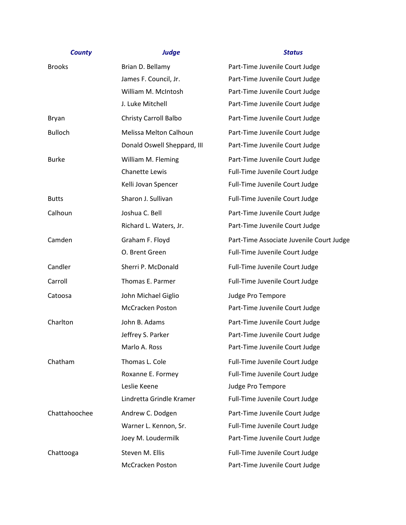| <b>County</b>  | <b>Judge</b>                 | <b>Status</b>                            |
|----------------|------------------------------|------------------------------------------|
| <b>Brooks</b>  | Brian D. Bellamy             | Part-Time Juvenile Court Judge           |
|                | James F. Council, Jr.        | Part-Time Juvenile Court Judge           |
|                | William M. McIntosh          | Part-Time Juvenile Court Judge           |
|                | J. Luke Mitchell             | Part-Time Juvenile Court Judge           |
| Bryan          | <b>Christy Carroll Balbo</b> | Part-Time Juvenile Court Judge           |
| <b>Bulloch</b> | Melissa Melton Calhoun       | Part-Time Juvenile Court Judge           |
|                | Donald Oswell Sheppard, III  | Part-Time Juvenile Court Judge           |
| <b>Burke</b>   | William M. Fleming           | Part-Time Juvenile Court Judge           |
|                | Chanette Lewis               | Full-Time Juvenile Court Judge           |
|                | Kelli Jovan Spencer          | Full-Time Juvenile Court Judge           |
| <b>Butts</b>   | Sharon J. Sullivan           | Full-Time Juvenile Court Judge           |
| Calhoun        | Joshua C. Bell               | Part-Time Juvenile Court Judge           |
|                | Richard L. Waters, Jr.       | Part-Time Juvenile Court Judge           |
| Camden         | Graham F. Floyd              | Part-Time Associate Juvenile Court Judge |
|                | O. Brent Green               | Full-Time Juvenile Court Judge           |
| Candler        | Sherri P. McDonald           | Full-Time Juvenile Court Judge           |
| Carroll        | Thomas E. Parmer             | Full-Time Juvenile Court Judge           |
| Catoosa        | John Michael Giglio          | Judge Pro Tempore                        |
|                | <b>McCracken Poston</b>      | Part-Time Juvenile Court Judge           |
| Charlton       | John B. Adams                | Part-Time Juvenile Court Judge           |
|                | Jeffrey S. Parker            | Part-Time Juvenile Court Judge           |
|                | Marlo A. Ross                | Part-Time Juvenile Court Judge           |
| Chatham        | Thomas L. Cole               | Full-Time Juvenile Court Judge           |
|                | Roxanne E. Formey            | Full-Time Juvenile Court Judge           |
|                | Leslie Keene                 | Judge Pro Tempore                        |
|                | Lindretta Grindle Kramer     | Full-Time Juvenile Court Judge           |
| Chattahoochee  | Andrew C. Dodgen             | Part-Time Juvenile Court Judge           |
|                | Warner L. Kennon, Sr.        | Full-Time Juvenile Court Judge           |
|                | Joey M. Loudermilk           | Part-Time Juvenile Court Judge           |
| Chattooga      | Steven M. Ellis              | Full-Time Juvenile Court Judge           |
|                | <b>McCracken Poston</b>      | Part-Time Juvenile Court Judge           |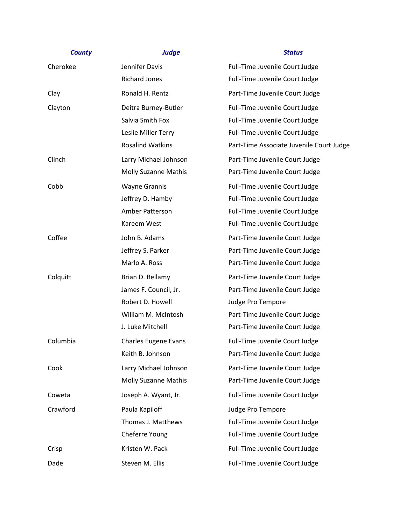| Jennifer Davis              | Full-Time Juvenile Court Judge           |
|-----------------------------|------------------------------------------|
| <b>Richard Jones</b>        | Full-Time Juvenile Court Judge           |
| Ronald H. Rentz             | Part-Time Juvenile Court Judge           |
| Deitra Burney-Butler        | Full-Time Juvenile Court Judge           |
| Salvia Smith Fox            | Full-Time Juvenile Court Judge           |
| Leslie Miller Terry         | Full-Time Juvenile Court Judge           |
| <b>Rosalind Watkins</b>     | Part-Time Associate Juvenile Court Judge |
| Larry Michael Johnson       | Part-Time Juvenile Court Judge           |
| <b>Molly Suzanne Mathis</b> | Part-Time Juvenile Court Judge           |
| <b>Wayne Grannis</b>        | Full-Time Juvenile Court Judge           |
| Jeffrey D. Hamby            | Full-Time Juvenile Court Judge           |
| Amber Patterson             | Full-Time Juvenile Court Judge           |
| Kareem West                 | Full-Time Juvenile Court Judge           |
| John B. Adams               | Part-Time Juvenile Court Judge           |
| Jeffrey S. Parker           | Part-Time Juvenile Court Judge           |
| Marlo A. Ross               | Part-Time Juvenile Court Judge           |
| Brian D. Bellamy            | Part-Time Juvenile Court Judge           |
| James F. Council, Jr.       | Part-Time Juvenile Court Judge           |
| Robert D. Howell            | Judge Pro Tempore                        |
| William M. McIntosh         | Part-Time Juvenile Court Judge           |
| J. Luke Mitchell            | Part-Time Juvenile Court Judge           |
| <b>Charles Eugene Evans</b> | Full-Time Juvenile Court Judge           |
| Keith B. Johnson            | Part-Time Juvenile Court Judge           |
| Larry Michael Johnson       | Part-Time Juvenile Court Judge           |
| <b>Molly Suzanne Mathis</b> | Part-Time Juvenile Court Judge           |
| Joseph A. Wyant, Jr.        | Full-Time Juvenile Court Judge           |
| Paula Kapiloff              | Judge Pro Tempore                        |
| Thomas J. Matthews          | Full-Time Juvenile Court Judge           |
| Cheferre Young              | Full-Time Juvenile Court Judge           |
| Kristen W. Pack             | Full-Time Juvenile Court Judge           |
| Steven M. Ellis             | Full-Time Juvenile Court Judge           |
|                             |                                          |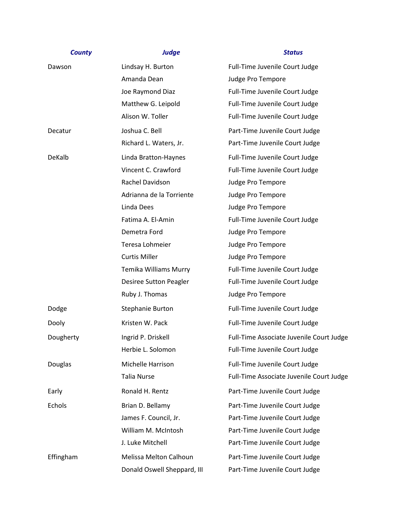| <b>County</b> | <b>Judge</b>                | <b>Status</b>                            |
|---------------|-----------------------------|------------------------------------------|
| Dawson        | Lindsay H. Burton           | Full-Time Juvenile Court Judge           |
|               | Amanda Dean                 | Judge Pro Tempore                        |
|               | Joe Raymond Diaz            | Full-Time Juvenile Court Judge           |
|               | Matthew G. Leipold          | Full-Time Juvenile Court Judge           |
|               | Alison W. Toller            | Full-Time Juvenile Court Judge           |
| Decatur       | Joshua C. Bell              | Part-Time Juvenile Court Judge           |
|               | Richard L. Waters, Jr.      | Part-Time Juvenile Court Judge           |
| DeKalb        | Linda Bratton-Haynes        | Full-Time Juvenile Court Judge           |
|               | Vincent C. Crawford         | Full-Time Juvenile Court Judge           |
|               | Rachel Davidson             | Judge Pro Tempore                        |
|               | Adrianna de la Torriente    | Judge Pro Tempore                        |
|               | Linda Dees                  | Judge Pro Tempore                        |
|               | Fatima A. El-Amin           | Full-Time Juvenile Court Judge           |
|               | Demetra Ford                | Judge Pro Tempore                        |
|               | Teresa Lohmeier             | Judge Pro Tempore                        |
|               | <b>Curtis Miller</b>        | Judge Pro Tempore                        |
|               | Temika Williams Murry       | Full-Time Juvenile Court Judge           |
|               | Desiree Sutton Peagler      | Full-Time Juvenile Court Judge           |
|               | Ruby J. Thomas              | Judge Pro Tempore                        |
| Dodge         | Stephanie Burton            | Full-Time Juvenile Court Judge           |
| Dooly         | Kristen W. Pack             | Full-Time Juvenile Court Judge           |
| Dougherty     | Ingrid P. Driskell          | Full-Time Associate Juvenile Court Judge |
|               | Herbie L. Solomon           | Full-Time Juvenile Court Judge           |
| Douglas       | Michelle Harrison           | Full-Time Juvenile Court Judge           |
|               | <b>Talia Nurse</b>          | Full-Time Associate Juvenile Court Judge |
| Early         | Ronald H. Rentz             | Part-Time Juvenile Court Judge           |
| Echols        | Brian D. Bellamy            | Part-Time Juvenile Court Judge           |
|               | James F. Council, Jr.       | Part-Time Juvenile Court Judge           |
|               | William M. McIntosh         | Part-Time Juvenile Court Judge           |
|               | J. Luke Mitchell            | Part-Time Juvenile Court Judge           |
| Effingham     | Melissa Melton Calhoun      | Part-Time Juvenile Court Judge           |
|               | Donald Oswell Sheppard, III | Part-Time Juvenile Court Judge           |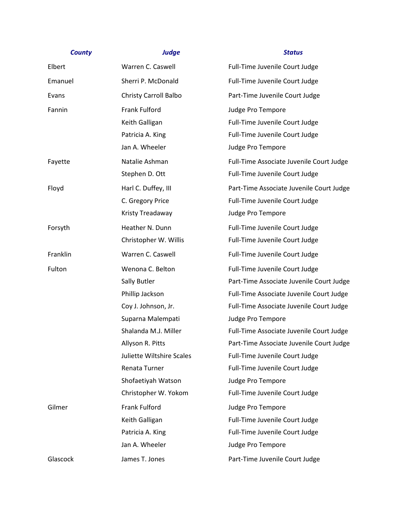# *County Judge Status* Elbert Warren C. Caswell Full-Time Juvenile Court Judge Emanuel Sherri P. McDonald Full-Time Juvenile Court Judge Evans Christy Carroll Balbo Part-Time Juvenile Court Judge Fannin Frank Fulford Frank Fulford Full and the Sudge Pro Tempore Keith Galligan **Full-Time Juvenile Court Judge** Patricia A. King **Full-Time Juvenile Court Judge** Jan A. Wheeler **Judge Pro Tempore** Fayette **Natalie Ashman** Full-Time Associate Juvenile Court Judge

Stephen D. Ott Full-Time Juvenile Court Judge Floyd Harl C. Duffey, III Part-Time Associate Juvenile Court Judge C. Gregory Price Full-Time Juvenile Court Judge Kristy Treadaway Judge Pro Tempore Forsyth **Heather N. Dunn** Full-Time Juvenile Court Judge Christopher W. Willis Full-Time Juvenile Court Judge Franklin **Example 20 Warren C. Caswell** Full-Time Juvenile Court Judge Fulton **Example 2 Wenona C. Belton** Full-Time Juvenile Court Judge Sally Butler **Part-Time Associate Juvenile Court Judge** Phillip Jackson **Full-Time Associate Juvenile Court Judge** Coy J. Johnson, Jr. Full-Time Associate Juvenile Court Judge Suparna Malempati Judge Pro Tempore Shalanda M.J. Miller Full-Time Associate Juvenile Court Judge Allyson R. Pitts **Part-Time Associate Juvenile Court Judge** Juliette Wiltshire Scales Full-Time Juvenile Court Judge Renata Turner Full-Time Juvenile Court Judge Shofaetiyah Watson Judge Pro Tempore Christopher W. Yokom Full-Time Juvenile Court Judge Gilmer Frank Fulford Frank Fulford Judge Pro Tempore Keith Galligan **Full-Time Juvenile Court Judge** Patricia A. King The State of Tull-Time Juvenile Court Judge Jan A. Wheeler **Judge Pro Tempore** Glascock James T. Jones **Part-Time Juvenile Court Judge**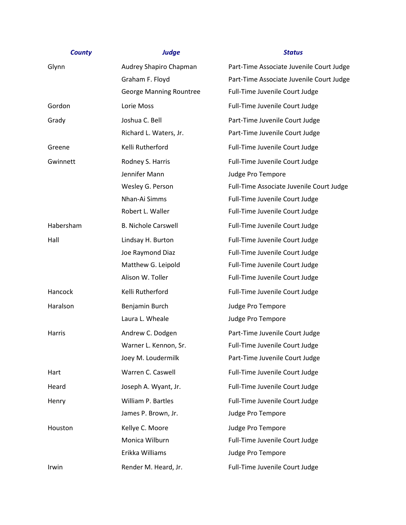| Glynn     | Audrey Shapiro Chapman     | Part-Time Associate Juvenile Court Judge |
|-----------|----------------------------|------------------------------------------|
|           | Graham F. Floyd            | Part-Time Associate Juvenile Court Judge |
|           | George Manning Rountree    | Full-Time Juvenile Court Judge           |
| Gordon    | Lorie Moss                 | Full-Time Juvenile Court Judge           |
| Grady     | Joshua C. Bell             | Part-Time Juvenile Court Judge           |
|           | Richard L. Waters, Jr.     | Part-Time Juvenile Court Judge           |
| Greene    | Kelli Rutherford           | Full-Time Juvenile Court Judge           |
| Gwinnett  | Rodney S. Harris           | Full-Time Juvenile Court Judge           |
|           | Jennifer Mann              | Judge Pro Tempore                        |
|           | Wesley G. Person           | Full-Time Associate Juvenile Court Judge |
|           | Nhan-Ai Simms              | Full-Time Juvenile Court Judge           |
|           | Robert L. Waller           | Full-Time Juvenile Court Judge           |
| Habersham | <b>B. Nichole Carswell</b> | Full-Time Juvenile Court Judge           |
| Hall      | Lindsay H. Burton          | Full-Time Juvenile Court Judge           |
|           | Joe Raymond Diaz           | Full-Time Juvenile Court Judge           |
|           | Matthew G. Leipold         | Full-Time Juvenile Court Judge           |
|           | Alison W. Toller           | Full-Time Juvenile Court Judge           |
| Hancock   | Kelli Rutherford           | Full-Time Juvenile Court Judge           |
| Haralson  | Benjamin Burch             | Judge Pro Tempore                        |
|           | Laura L. Wheale            | Judge Pro Tempore                        |
| Harris    | Andrew C. Dodgen           | Part-Time Juvenile Court Judge           |
|           | Warner L. Kennon, Sr.      | Full-Time Juvenile Court Judge           |
|           | Joey M. Loudermilk         | Part-Time Juvenile Court Judge           |
| Hart      | Warren C. Caswell          | Full-Time Juvenile Court Judge           |
| Heard     | Joseph A. Wyant, Jr.       | Full-Time Juvenile Court Judge           |
| Henry     | William P. Bartles         | Full-Time Juvenile Court Judge           |
|           | James P. Brown, Jr.        | Judge Pro Tempore                        |
| Houston   | Kellye C. Moore            | Judge Pro Tempore                        |
|           | Monica Wilburn             | Full-Time Juvenile Court Judge           |
|           | Erikka Williams            | Judge Pro Tempore                        |
| Irwin     | Render M. Heard, Jr.       | Full-Time Juvenile Court Judge           |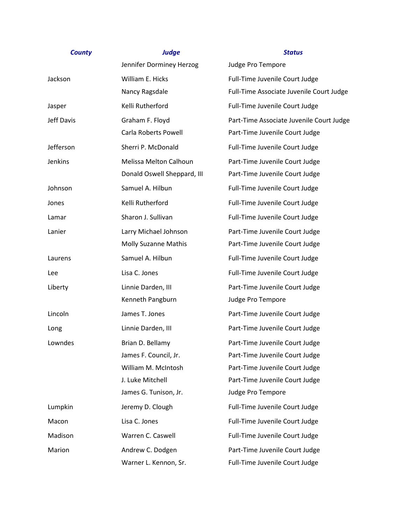| <b>County</b>  | <b>Judge</b>                  | <b>Status</b>                            |
|----------------|-------------------------------|------------------------------------------|
|                | Jennifer Dorminey Herzog      | Judge Pro Tempore                        |
| Jackson        | William E. Hicks              | Full-Time Juvenile Court Judge           |
|                | Nancy Ragsdale                | Full-Time Associate Juvenile Court Judge |
| Jasper         | Kelli Rutherford              | Full-Time Juvenile Court Judge           |
| Jeff Davis     | Graham F. Floyd               | Part-Time Associate Juvenile Court Judge |
|                | Carla Roberts Powell          | Part-Time Juvenile Court Judge           |
| Jefferson      | Sherri P. McDonald            | Full-Time Juvenile Court Judge           |
| <b>Jenkins</b> | <b>Melissa Melton Calhoun</b> | Part-Time Juvenile Court Judge           |
|                | Donald Oswell Sheppard, III   | Part-Time Juvenile Court Judge           |
| Johnson        | Samuel A. Hilbun              | Full-Time Juvenile Court Judge           |
| Jones          | Kelli Rutherford              | Full-Time Juvenile Court Judge           |
| Lamar          | Sharon J. Sullivan            | Full-Time Juvenile Court Judge           |
| Lanier         | Larry Michael Johnson         | Part-Time Juvenile Court Judge           |
|                | <b>Molly Suzanne Mathis</b>   | Part-Time Juvenile Court Judge           |
| Laurens        | Samuel A. Hilbun              | Full-Time Juvenile Court Judge           |
| Lee            | Lisa C. Jones                 | Full-Time Juvenile Court Judge           |
| Liberty        | Linnie Darden, III            | Part-Time Juvenile Court Judge           |
|                | Kenneth Pangburn              | Judge Pro Tempore                        |
| Lincoln        | James T. Jones                | Part-Time Juvenile Court Judge           |
| Long           | Linnie Darden, III            | Part-Time Juvenile Court Judge           |
| Lowndes        | Brian D. Bellamy              | Part-Time Juvenile Court Judge           |
|                | James F. Council, Jr.         | Part-Time Juvenile Court Judge           |
|                | William M. McIntosh           | Part-Time Juvenile Court Judge           |
|                | J. Luke Mitchell              | Part-Time Juvenile Court Judge           |
|                | James G. Tunison, Jr.         | Judge Pro Tempore                        |
| Lumpkin        | Jeremy D. Clough              | Full-Time Juvenile Court Judge           |
| Macon          | Lisa C. Jones                 | Full-Time Juvenile Court Judge           |
| Madison        | Warren C. Caswell             | Full-Time Juvenile Court Judge           |
| Marion         | Andrew C. Dodgen              | Part-Time Juvenile Court Judge           |
|                | Warner L. Kennon, Sr.         | Full-Time Juvenile Court Judge           |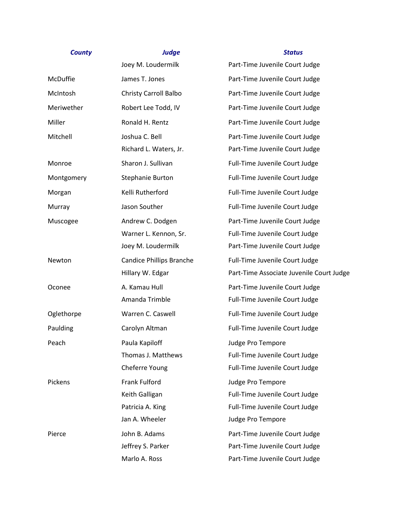|            | Joey M. Loudermilk              | Part-Time Juvenile Court Judge           |
|------------|---------------------------------|------------------------------------------|
| McDuffie   | James T. Jones                  | Part-Time Juvenile Court Judge           |
| McIntosh   | <b>Christy Carroll Balbo</b>    | Part-Time Juvenile Court Judge           |
| Meriwether | Robert Lee Todd, IV             | Part-Time Juvenile Court Judge           |
| Miller     | Ronald H. Rentz                 | Part-Time Juvenile Court Judge           |
| Mitchell   | Joshua C. Bell                  | Part-Time Juvenile Court Judge           |
|            | Richard L. Waters, Jr.          | Part-Time Juvenile Court Judge           |
| Monroe     | Sharon J. Sullivan              | Full-Time Juvenile Court Judge           |
| Montgomery | Stephanie Burton                | Full-Time Juvenile Court Judge           |
| Morgan     | Kelli Rutherford                | Full-Time Juvenile Court Judge           |
| Murray     | Jason Souther                   | Full-Time Juvenile Court Judge           |
| Muscogee   | Andrew C. Dodgen                | Part-Time Juvenile Court Judge           |
|            | Warner L. Kennon, Sr.           | Full-Time Juvenile Court Judge           |
|            | Joey M. Loudermilk              | Part-Time Juvenile Court Judge           |
| Newton     | <b>Candice Phillips Branche</b> | Full-Time Juvenile Court Judge           |
|            | Hillary W. Edgar                | Part-Time Associate Juvenile Court Judge |
| Oconee     | A. Kamau Hull                   | Part-Time Juvenile Court Judge           |
|            | Amanda Trimble                  | Full-Time Juvenile Court Judge           |
| Oglethorpe | Warren C. Caswell               | Full-Time Juvenile Court Judge           |
| Paulding   | Carolyn Altman                  | Full-Time Juvenile Court Judge           |
| Peach      | Paula Kapiloff                  | Judge Pro Tempore                        |
|            | Thomas J. Matthews              | Full-Time Juvenile Court Judge           |
|            | Cheferre Young                  | Full-Time Juvenile Court Judge           |
| Pickens    | <b>Frank Fulford</b>            | Judge Pro Tempore                        |
|            | Keith Galligan                  | Full-Time Juvenile Court Judge           |
|            | Patricia A. King                | Full-Time Juvenile Court Judge           |
|            | Jan A. Wheeler                  | Judge Pro Tempore                        |
| Pierce     | John B. Adams                   | Part-Time Juvenile Court Judge           |
|            | Jeffrey S. Parker               | Part-Time Juvenile Court Judge           |
|            | Marlo A. Ross                   | Part-Time Juvenile Court Judge           |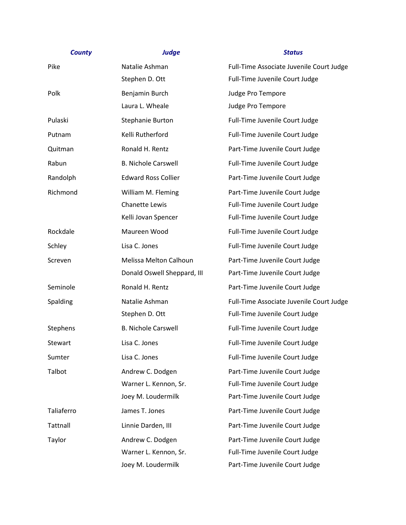| <b>County</b> | <b>Judge</b>                | <b>Status</b>                            |
|---------------|-----------------------------|------------------------------------------|
| Pike          | Natalie Ashman              | Full-Time Associate Juvenile Court Judge |
|               | Stephen D. Ott              | Full-Time Juvenile Court Judge           |
| Polk          | Benjamin Burch              | Judge Pro Tempore                        |
|               | Laura L. Wheale             | Judge Pro Tempore                        |
| Pulaski       | Stephanie Burton            | Full-Time Juvenile Court Judge           |
| Putnam        | Kelli Rutherford            | Full-Time Juvenile Court Judge           |
| Quitman       | Ronald H. Rentz             | Part-Time Juvenile Court Judge           |
| Rabun         | <b>B. Nichole Carswell</b>  | Full-Time Juvenile Court Judge           |
| Randolph      | <b>Edward Ross Collier</b>  | Part-Time Juvenile Court Judge           |
| Richmond      | William M. Fleming          | Part-Time Juvenile Court Judge           |
|               | <b>Chanette Lewis</b>       | Full-Time Juvenile Court Judge           |
|               | Kelli Jovan Spencer         | Full-Time Juvenile Court Judge           |
| Rockdale      | Maureen Wood                | Full-Time Juvenile Court Judge           |
| Schley        | Lisa C. Jones               | Full-Time Juvenile Court Judge           |
| Screven       | Melissa Melton Calhoun      | Part-Time Juvenile Court Judge           |
|               | Donald Oswell Sheppard, III | Part-Time Juvenile Court Judge           |
| Seminole      | Ronald H. Rentz             | Part-Time Juvenile Court Judge           |
| Spalding      | Natalie Ashman              | Full-Time Associate Juvenile Court Judge |
|               | Stephen D. Ott              | Full-Time Juvenile Court Judge           |
| Stephens      | <b>B. Nichole Carswell</b>  | Full-Time Juvenile Court Judge           |
| Stewart       | Lisa C. Jones               | Full-Time Juvenile Court Judge           |
| Sumter        | Lisa C. Jones               | Full-Time Juvenile Court Judge           |
| Talbot        | Andrew C. Dodgen            | Part-Time Juvenile Court Judge           |
|               | Warner L. Kennon, Sr.       | Full-Time Juvenile Court Judge           |
|               | Joey M. Loudermilk          | Part-Time Juvenile Court Judge           |
| Taliaferro    | James T. Jones              | Part-Time Juvenile Court Judge           |
| Tattnall      | Linnie Darden, III          | Part-Time Juvenile Court Judge           |
| Taylor        | Andrew C. Dodgen            | Part-Time Juvenile Court Judge           |
|               | Warner L. Kennon, Sr.       | Full-Time Juvenile Court Judge           |
|               | Joey M. Loudermilk          | Part-Time Juvenile Court Judge           |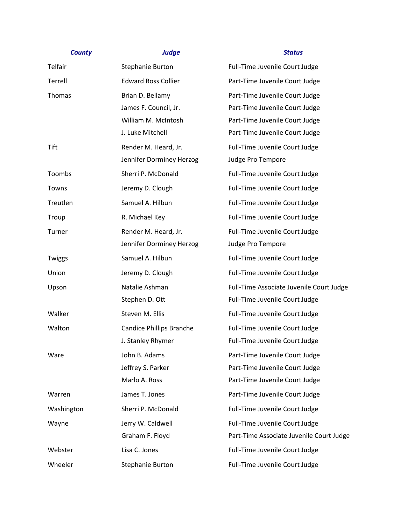# *County Judge Status* Telfair The Stephanie Burton Full-Time Juvenile Court Judge Terrell Edward Ross Collier **Part-Time Juvenile Court Judge** Thomas Brian D. Bellamy Part-Time Juvenile Court Judge James F. Council, Jr. Part-Time Juvenile Court Judge William M. McIntosh Part-Time Juvenile Court Judge J. Luke Mitchell Part-Time Juvenile Court Judge Tift **Render M. Heard, Jr.** Full-Time Juvenile Court Judge Jennifer Dorminey Herzog Judge Pro Tempore Toombs Sherri P. McDonald Full-Time Juvenile Court Judge Towns Towns Jeremy D. Clough Towns Full-Time Juvenile Court Judge Treutlen **Samuel A. Hilbun** Full-Time Juvenile Court Judge Troup **R. Michael Key Communist Court Judge** Full-Time Juvenile Court Judge Turner Turner Render M. Heard, Jr. Full-Time Juvenile Court Judge Jennifer Dorminey Herzog Judge Pro Tempore Twiggs Samuel A. Hilbun Full-Time Juvenile Court Judge Union **Information** Jeremy D. Clough **Full-Time Juvenile Court Judge** Upson Natalie Ashman Full-Time Associate Juvenile Court Judge Stephen D. Ott Full-Time Juvenile Court Judge Walker Steven M. Ellis Full-Time Juvenile Court Judge Walton Candice Phillips Branche Full-Time Juvenile Court Judge J. Stanley Rhymer Full-Time Juvenile Court Judge Ware Same John B. Adams Part-Time Juvenile Court Judge Jeffrey S. Parker Part-Time Juvenile Court Judge Marlo A. Ross **Part-Time Juvenile Court Judge** Warren Marren James T. Jones Communist Part-Time Juvenile Court Judge Washington Sherri P. McDonald Full-Time Juvenile Court Judge Wayne Jerry W. Caldwell **Full-Time Juvenile Court Judge**

Graham F. Floyd **Part-Time Associate Juvenile Court Judge** Webster **Lisa C. Jones Example 2** Lisa C. Jones **Full-Time Juvenile Court Judge** Wheeler Stephanie Burton Full-Time Juvenile Court Judge